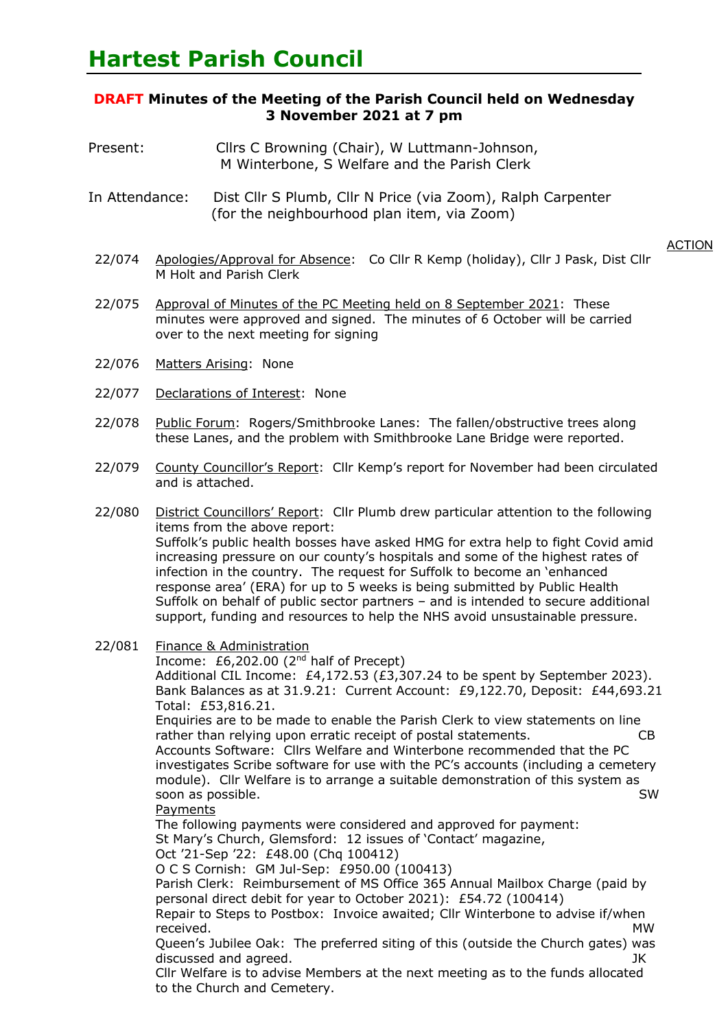# **DRAFT Minutes of the Meeting of the Parish Council held on Wednesday 3 November 2021 at 7 pm**

- Present: Cllrs C Browning (Chair), W Luttmann-Johnson, M Winterbone, S Welfare and the Parish Clerk
- In Attendance: Dist Cllr S Plumb, Cllr N Price (via Zoom), Ralph Carpenter (for the neighbourhood plan item, via Zoom)

- 22/074 Apologies/Approval for Absence: Co Cllr R Kemp (holiday), Cllr J Pask, Dist Cllr M Holt and Parish Clerk
- 22/075 Approval of Minutes of the PC Meeting held on 8 September 2021: These minutes were approved and signed. The minutes of 6 October will be carried over to the next meeting for signing
- 22/076 Matters Arising: None
- 22/077 Declarations of Interest: None
- 22/078 Public Forum: Rogers/Smithbrooke Lanes: The fallen/obstructive trees along these Lanes, and the problem with Smithbrooke Lane Bridge were reported.
- 22/079 County Councillor's Report: Cllr Kemp's report for November had been circulated and is attached.
- 22/080 District Councillors' Report: Cllr Plumb drew particular attention to the following items from the above report: Suffolk's public health bosses have asked HMG for extra help to fight Covid amid increasing pressure on our county's hospitals and some of the highest rates of infection in the country. The request for Suffolk to become an 'enhanced response area' (ERA) for up to 5 weeks is being submitted by Public Health Suffolk on behalf of public sector partners – and is intended to secure additional support, funding and resources to help the NHS avoid unsustainable pressure.
- 22/081 Finance & Administration

Income: £6,202.00 (2nd half of Precept)

Additional CIL Income: £4,172.53 (£3,307.24 to be spent by September 2023). Bank Balances as at 31.9.21: Current Account: £9,122.70, Deposit: £44,693.21. Total: £53,816.21. Enquiries are to be made to enable the Parish Clerk to view statements on line

rather than relying upon erratic receipt of postal statements. CB Accounts Software: Cllrs Welfare and Winterbone recommended that the PC

investigates Scribe software for use with the PC's accounts (including a cemetery module). Cllr Welfare is to arrange a suitable demonstration of this system as soon as possible. SW

Payments

The following payments were considered and approved for payment: St Mary's Church, Glemsford: 12 issues of 'Contact' magazine, Oct '21-Sep '22: £48.00 (Chq 100412)

O C S Cornish: GM Jul-Sep: £950.00 (100413)

Parish Clerk: Reimbursement of MS Office 365 Annual Mailbox Charge (paid by personal direct debit for year to October 2021): £54.72 (100414)

Repair to Steps to Postbox: Invoice awaited; Cllr Winterbone to advise if/when received. MW

Queen's Jubilee Oak: The preferred siting of this (outside the Church gates) was discussed and agreed. JK

Cllr Welfare is to advise Members at the next meeting as to the funds allocated to the Church and Cemetery.

**ACTION**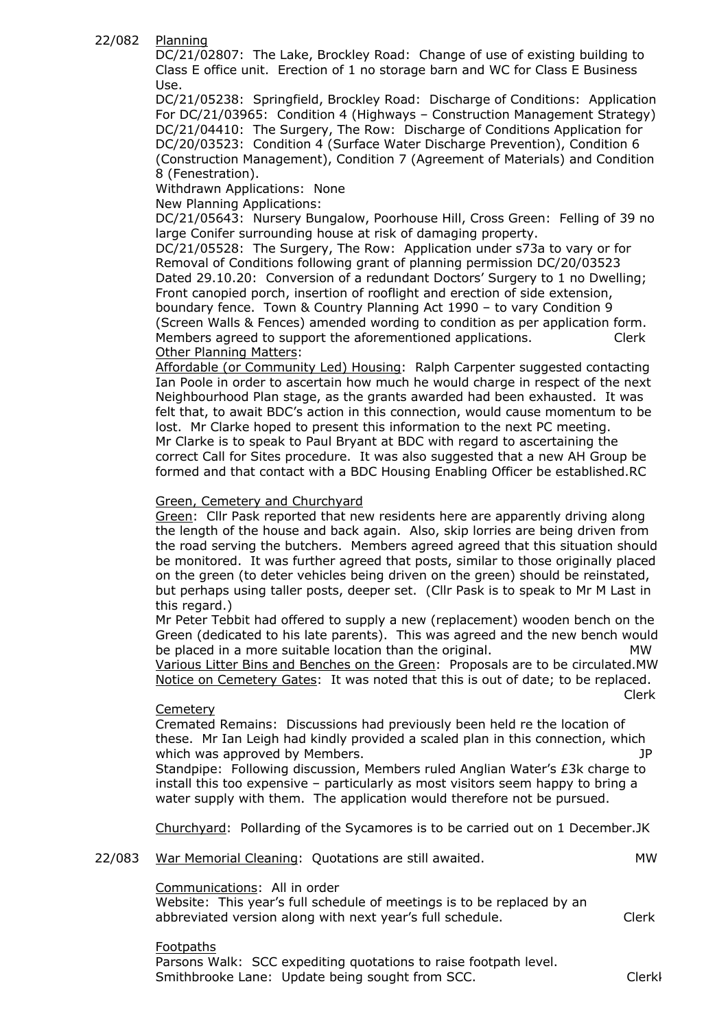#### 22/082 Planning

DC/21/02807: The Lake, Brockley Road: Change of use of existing building to Class E office unit. Erection of 1 no storage barn and WC for Class E Business Use.

DC/21/05238: Springfield, Brockley Road: Discharge of Conditions: Application For DC/21/03965: Condition 4 (Highways – Construction Management Strategy) DC/21/04410: The Surgery, The Row: Discharge of Conditions Application for DC/20/03523: Condition 4 (Surface Water Discharge Prevention), Condition 6 (Construction Management), Condition 7 (Agreement of Materials) and Condition 8 (Fenestration).

Withdrawn Applications: None

New Planning Applications:

DC/21/05643: Nursery Bungalow, Poorhouse Hill, Cross Green: Felling of 39 no large Conifer surrounding house at risk of damaging property.

DC/21/05528: The Surgery, The Row: Application under s73a to vary or for Removal of Conditions following grant of planning permission DC/20/03523 Dated 29.10.20: Conversion of a redundant Doctors' Surgery to 1 no Dwelling; Front canopied porch, insertion of rooflight and erection of side extension, boundary fence. Town & Country Planning Act 1990 – to vary Condition 9 (Screen Walls & Fences) amended wording to condition as per application form. Members agreed to support the aforementioned applications. Clerk Other Planning Matters:

Affordable (or Community Led) Housing: Ralph Carpenter suggested contacting Ian Poole in order to ascertain how much he would charge in respect of the next Neighbourhood Plan stage, as the grants awarded had been exhausted. It was felt that, to await BDC's action in this connection, would cause momentum to be lost. Mr Clarke hoped to present this information to the next PC meeting. Mr Clarke is to speak to Paul Bryant at BDC with regard to ascertaining the correct Call for Sites procedure. It was also suggested that a new AH Group be formed and that contact with a BDC Housing Enabling Officer be established.RC

## Green, Cemetery and Churchyard

Green: Cllr Pask reported that new residents here are apparently driving along the length of the house and back again. Also, skip lorries are being driven from the road serving the butchers. Members agreed agreed that this situation should be monitored. It was further agreed that posts, similar to those originally placed on the green (to deter vehicles being driven on the green) should be reinstated, but perhaps using taller posts, deeper set. (Cllr Pask is to speak to Mr M Last in this regard.)

Mr Peter Tebbit had offered to supply a new (replacement) wooden bench on the Green (dedicated to his late parents). This was agreed and the new bench would be placed in a more suitable location than the original. MW Various Litter Bins and Benches on the Green: Proposals are to be circulated.MW Notice on Cemetery Gates: It was noted that this is out of date; to be replaced.

### **Cemetery**

Cremated Remains: Discussions had previously been held re the location of these. Mr Ian Leigh had kindly provided a scaled plan in this connection, which which was approved by Members.

en de la construction de la construction de la construction de la construction de la construction de la constr

Standpipe: Following discussion, Members ruled Anglian Water's £3k charge to install this too expensive – particularly as most visitors seem happy to bring a water supply with them. The application would therefore not be pursued.

Churchyard: Pollarding of the Sycamores is to be carried out on 1 December.JK

#### 22/083 War Memorial Cleaning: Quotations are still awaited. MW

Communications: All in order

Website: This year's full schedule of meetings is to be replaced by an abbreviated version along with next year's full schedule. Clerk

Footpaths Parsons Walk: SCC expediting quotations to raise footpath level. Smithbrooke Lane: Update being sought from SCC. The Clerk Clerk Clerk Clerk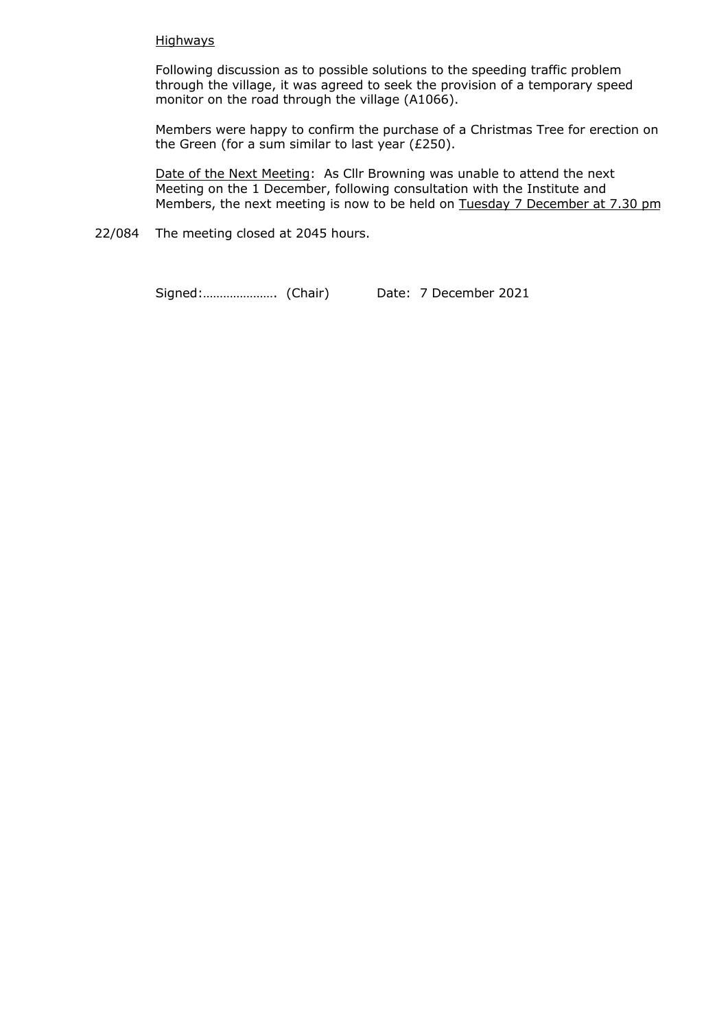### Highways

Following discussion as to possible solutions to the speeding traffic problem through the village, it was agreed to seek the provision of a temporary speed monitor on the road through the village (A1066).

Members were happy to confirm the purchase of a Christmas Tree for erection on the Green (for a sum similar to last year (£250).

Date of the Next Meeting: As Cllr Browning was unable to attend the next Meeting on the 1 December, following consultation with the Institute and Members, the next meeting is now to be held on Tuesday 7 December at 7.30 pm

22/084 The meeting closed at 2045 hours.

Signed:…………………. (Chair) Date: 7 December 2021